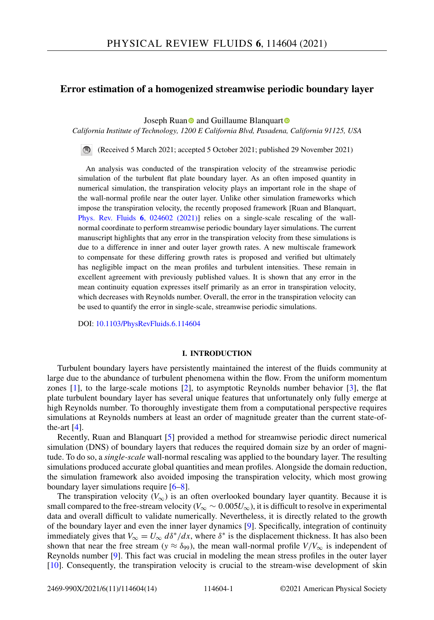# **Error estimation of a homogenized streamwise periodic boundary layer**

Joseph Rua[n](https://orcid.org/0000-0002-9110-0458) and Guillaume Blanquar[t](https://orcid.org/0000-0002-5074-9728)

*California Institute of Technology, 1200 E California Blvd, Pasadena, California 91125, USA*

(Received 5 March 2021; accepted 5 October 2021; published 29 November 2021)

An analysis was conducted of the transpiration velocity of the streamwise periodic simulation of the turbulent flat plate boundary layer. As an often imposed quantity in numerical simulation, the transpiration velocity plays an important role in the shape of the wall-normal profile near the outer layer. Unlike other simulation frameworks which impose the transpiration velocity, the recently proposed framework [Ruan and Blanquart, [Phys. Rev. Fluids](https://doi.org/10.1103/PhysRevFluids.6.024602) **6**, 024602 (2021)] relies on a single-scale rescaling of the wallnormal coordinate to perform streamwise periodic boundary layer simulations. The current manuscript highlights that any error in the transpiration velocity from these simulations is due to a difference in inner and outer layer growth rates. A new multiscale framework to compensate for these differing growth rates is proposed and verified but ultimately has negligible impact on the mean profiles and turbulent intensities. These remain in excellent agreement with previously published values. It is shown that any error in the mean continuity equation expresses itself primarily as an error in transpiration velocity, which decreases with Reynolds number. Overall, the error in the transpiration velocity can be used to quantify the error in single-scale, streamwise periodic simulations.

DOI: [10.1103/PhysRevFluids.6.114604](https://doi.org/10.1103/PhysRevFluids.6.114604)

#### **I. INTRODUCTION**

Turbulent boundary layers have persistently maintained the interest of the fluids community at large due to the abundance of turbulent phenomena within the flow. From the uniform momentum zones [\[1\]](#page-12-0), to the large-scale motions [\[2\]](#page-12-0), to asymptotic Reynolds number behavior [\[3\]](#page-12-0), the flat plate turbulent boundary layer has several unique features that unfortunately only fully emerge at high Reynolds number. To thoroughly investigate them from a computational perspective requires simulations at Reynolds numbers at least an order of magnitude greater than the current state-ofthe-art  $[4]$ .

Recently, Ruan and Blanquart [\[5\]](#page-12-0) provided a method for streamwise periodic direct numerical simulation (DNS) of boundary layers that reduces the required domain size by an order of magnitude. To do so, a *single-scale* wall-normal rescaling was applied to the boundary layer. The resulting simulations produced accurate global quantities and mean profiles. Alongside the domain reduction, the simulation framework also avoided imposing the transpiration velocity, which most growing boundary layer simulations require [\[6–8\]](#page-12-0).

The transpiration velocity ( $V_{\infty}$ ) is an often overlooked boundary layer quantity. Because it is small compared to the free-stream velocity ( $V_{\infty} \sim 0.005 U_{\infty}$ ), it is difficult to resolve in experimental data and overall difficult to validate numerically. Nevertheless, it is directly related to the growth of the boundary layer and even the inner layer dynamics [\[9\]](#page-12-0). Specifically, integration of continuity immediately gives that  $V_{\infty} = U_{\infty} d\delta^* / dx$ , where  $\delta^*$  is the displacement thickness. It has also been shown that near the free stream ( $y \approx \delta_{99}$ ), the mean wall-normal profile  $V/V_{\infty}$  is independent of Reynolds number [\[9\]](#page-12-0). This fact was crucial in modeling the mean stress profiles in the outer layer [\[10\]](#page-12-0). Consequently, the transpiration velocity is crucial to the stream-wise development of skin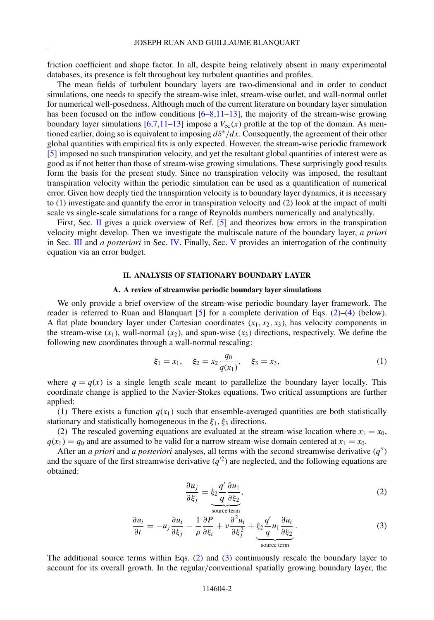<span id="page-1-0"></span>friction coefficient and shape factor. In all, despite being relatively absent in many experimental databases, its presence is felt throughout key turbulent quantities and profiles.

The mean fields of turbulent boundary layers are two-dimensional and in order to conduct simulations, one needs to specify the stream-wise inlet, stream-wise outlet, and wall-normal outlet for numerical well-posedness. Although much of the current literature on boundary layer simulation has been focused on the inflow conditions  $[6-8,11-13]$ , the majority of the stream-wise growing boundary layer simulations  $[6,7,11-13]$  impose a  $V_{\infty}(x)$  profile at the top of the domain. As mentioned earlier, doing so is equivalent to imposing *d*δ∗/*dx*. Consequently, the agreement of their other global quantities with empirical fits is only expected. However, the stream-wise periodic framework [\[5\]](#page-12-0) imposed no such transpiration velocity, and yet the resultant global quantities of interest were as good as if not better than those of stream-wise growing simulations. These surprisingly good results form the basis for the present study. Since no transpiration velocity was imposed, the resultant transpiration velocity within the periodic simulation can be used as a quantification of numerical error. Given how deeply tied the transpiration velocity is to boundary layer dynamics, it is necessary to (1) investigate and quantify the error in transpiration velocity and (2) look at the impact of multi scale vs single-scale simulations for a range of Reynolds numbers numerically and analytically.

First, Sec. II gives a quick overview of Ref. [\[5\]](#page-12-0) and theorizes how errors in the transpiration velocity might develop. Then we investigate the multiscale nature of the boundary layer, *a priori* in Sec. [III](#page-3-0) and *a posteriori* in Sec. [IV.](#page-5-0) Finally, Sec. [V](#page-9-0) provides an interrogation of the continuity equation via an error budget.

### **II. ANALYSIS OF STATIONARY BOUNDARY LAYER**

#### **A. A review of streamwise periodic boundary layer simulations**

We only provide a brief overview of the stream-wise periodic boundary layer framework. The reader is referred to Ruan and Blanquart  $[5]$  for a complete derivation of Eqs. (2)–[\(4\)](#page-2-0) (below). A flat plate boundary layer under Cartesian coordinates  $(x_1, x_2, x_3)$ , has velocity components in the stream-wise  $(x_1)$ , wall-normal  $(x_2)$ , and span-wise  $(x_3)$  directions, respectively. We define the following new coordinates through a wall-normal rescaling:

$$
\xi_1 = x_1, \quad \xi_2 = x_2 \frac{q_0}{q(x_1)}, \quad \xi_3 = x_3,
$$
\n(1)

where  $q = q(x)$  is a single length scale meant to parallelize the boundary layer locally. This coordinate change is applied to the Navier-Stokes equations. Two critical assumptions are further applied:

(1) There exists a function  $q(x_1)$  such that ensemble-averaged quantities are both statistically stationary and statistically homogeneous in the  $\xi_1, \xi_3$  directions.

(2) The rescaled governing equations are evaluated at the stream-wise location where  $x_1 = x_0$ ,  $q(x_1) = q_0$  and are assumed to be valid for a narrow stream-wise domain centered at  $x_1 = x_0$ .

After an *a priori* and *a posteriori* analyses, all terms with the second streamwise derivative  $(q'')$ and the square of the first streamwise derivative  $(q^2)$  are neglected, and the following equations are obtained:

$$
\frac{\partial u_j}{\partial \xi_j} = \xi_2 \frac{q'}{q} \frac{\partial u_1}{\partial \xi_2},\tag{2}
$$

$$
\frac{\partial u_i}{\partial t} = -u_j \frac{\partial u_i}{\partial \xi_j} - \frac{1}{\rho} \frac{\partial P}{\partial \xi_i} + v \frac{\partial^2 u_i}{\partial \xi_j^2} + \underbrace{\xi_2 \frac{q'}{q} u_1 \frac{\partial u_i}{\partial \xi_2}}_{\text{source term}}.
$$
\n(3)

The additional source terms within Eqs. (2) and (3) continuously rescale the boundary layer to account for its overall growth. In the regular/conventional spatially growing boundary layer, the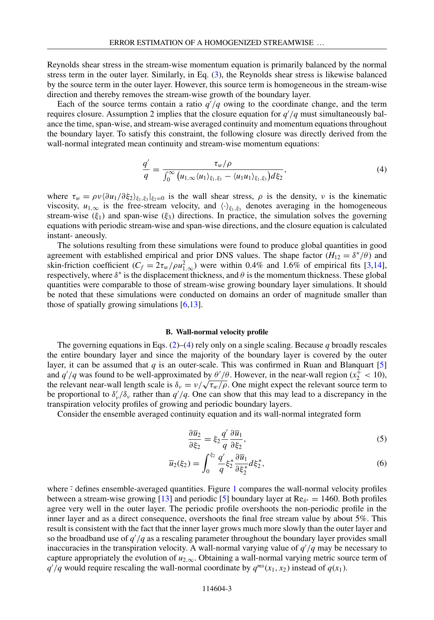<span id="page-2-0"></span>Reynolds shear stress in the stream-wise momentum equation is primarily balanced by the normal stress term in the outer layer. Similarly, in Eq. [\(3\)](#page-1-0), the Reynolds shear stress is likewise balanced by the source term in the outer layer. However, this source term is homogeneous in the stream-wise direction and thereby removes the stream-wise growth of the boundary layer.

Each of the source terms contain a ratio  $q/q$  owing to the coordinate change, and the term requires closure. Assumption 2 implies that the closure equation for *q* /*q* must simultaneously balance the time, span-wise, and stream-wise averaged continuity and momentum equations throughout the boundary layer. To satisfy this constraint, the following closure was directly derived from the wall-normal integrated mean continuity and stream-wise momentum equations:

$$
\frac{q'}{q} = \frac{\tau_w/\rho}{\int_0^\infty \left(u_{1,\infty}\langle u_1 \rangle_{\xi_1,\xi_3} - \langle u_1 u_1 \rangle_{\xi_1,\xi_3}\right) d\xi_2},\tag{4}
$$

where  $\tau_w = \rho v \langle \partial u_1 / \partial \xi_2 \rangle_{\xi_1, \xi_3} |_{\xi_2=0}$  is the wall shear stress,  $\rho$  is the density, v is the kinematic viscosity,  $u_{1,\infty}$  is the free-stream velocity, and  $\langle \cdot \rangle_{\xi_1,\xi_3}$  denotes averaging in the homogeneous stream-wise ( $\xi_1$ ) and span-wise ( $\xi_3$ ) directions. In practice, the simulation solves the governing equations with periodic stream-wise and span-wise directions, and the closure equation is calculated instant- aneously.

The solutions resulting from these simulations were found to produce global quantities in good agreement with established empirical and prior DNS values. The shape factor ( $H_{12} = \delta^*/\theta$ ) and skin-friction coefficient  $(C_f = 2\tau_w/\rho u_{1,\infty}^2)$  were within 0.4% and 1.6% of empirical fits [\[3,](#page-12-0)[14\]](#page-13-0), respectively, where  $\delta^*$  is the displacement thickness, and  $\theta$  is the momentum thickness. These global quantities were comparable to those of stream-wise growing boundary layer simulations. It should be noted that these simulations were conducted on domains an order of magnitude smaller than those of spatially growing simulations  $[6,13]$ .

#### **B. Wall-normal velocity profile**

The governing equations in Eqs.  $(2)$ – $(4)$  rely only on a single scaling. Because *q* broadly rescales the entire boundary layer and since the majority of the boundary layer is covered by the outer layer, it can be assumed that  $q$  is an outer-scale. This was confirmed in Ruan and Blanquart  $[5]$ and  $q'/q$  was found to be well-approximated by  $\frac{\theta'}{\theta}$ . However, in the near-wall region ( $x_2^+$  < 10), the relevant near-wall length scale is  $\delta_v = v / \sqrt{\tau_w / \rho}$ . One might expect the relevant source term to be proportional to  $\delta'_v/\delta_v$  rather than  $q'/q$ . One can show that this may lead to a discrepancy in the transpiration velocity profiles of growing and periodic boundary layers.

Consider the ensemble averaged continuity equation and its wall-normal integrated form

$$
\frac{\partial \overline{u}_2}{\partial \xi_2} = \xi_2 \frac{q'}{q} \frac{\partial \overline{u}_1}{\partial \xi_2},\tag{5}
$$

$$
\overline{u}_2(\xi_2) = \int_0^{\xi_2} \frac{q'}{q} \xi_2^* \frac{\partial \overline{u}_1}{\partial \xi_2^*} d\xi_2^*,
$$
\n(6)

where  $\frac{1}{2}$  $\frac{1}{2}$  $\frac{1}{2}$  defines ensemble-averaged quantities. Figure 1 compares the wall-normal velocity profiles between a stream-wise growing [\[13\]](#page-12-0) and periodic [\[5\]](#page-12-0) boundary layer at  $Re_{\delta^*} = 1460$ . Both profiles agree very well in the outer layer. The periodic profile overshoots the non-periodic profile in the inner layer and as a direct consequence, overshoots the final free stream value by about 5%. This result is consistent with the fact that the inner layer grows much more slowly than the outer layer and so the broadband use of *q* /*q* as a rescaling parameter throughout the boundary layer provides small inaccuracies in the transpiration velocity. A wall-normal varying value of *q* /*q* may be necessary to capture appropriately the evolution of  $u_{2,\infty}$ . Obtaining a wall-normal varying metric source term of  $q'/q$  would require rescaling the wall-normal coordinate by  $q^{ms}(x_1, x_2)$  instead of  $q(x_1)$ .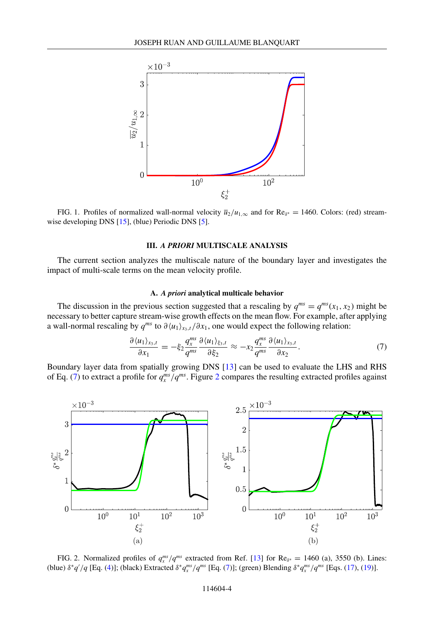<span id="page-3-0"></span>

FIG. 1. Profiles of normalized wall-normal velocity  $\overline{u}_2/u_{1,\infty}$  and for Re<sub>δ<sup>∗</sup></sub> = 1460. Colors: (red) streamwise developing DNS [\[15\]](#page-13-0), (blue) Periodic DNS [\[5\]](#page-12-0).

### **III.** *A PRIORI* **MULTISCALE ANALYSIS**

The current section analyzes the multiscale nature of the boundary layer and investigates the impact of multi-scale terms on the mean velocity profile.

# **A.** *A priori* **analytical multicale behavior**

The discussion in the previous section suggested that a rescaling by  $q^{ms} = q^{ms}(x_1, x_2)$  might be necessary to better capture stream-wise growth effects on the mean flow. For example, after applying a wall-normal rescaling by  $q^{ms}$  to  $\partial \langle u_1 \rangle_{x_3,t} / \partial x_1$ , one would expect the following relation:

$$
\frac{\partial \langle u_1 \rangle_{x_3,t}}{\partial x_1} = -\xi_2 \frac{q_x^{ms}}{q^{ms}} \frac{\partial \langle u_1 \rangle_{\xi_3,t}}{\partial \xi_2} \approx -x_2 \frac{q_x^{ms}}{q^{ms}} \frac{\partial \langle u_1 \rangle_{x_3,t}}{\partial x_2}.
$$
\n(7)

Boundary layer data from spatially growing DNS [\[13\]](#page-12-0) can be used to evaluate the LHS and RHS of Eq. (7) to extract a profile for  $q_x^{ms}/q^{ms}$ . Figure 2 compares the resulting extracted profiles against



FIG. 2. Normalized profiles of  $q_x^{ms}/q^{ms}$  extracted from Ref. [\[13\]](#page-12-0) for Re<sub> $\delta^*$ </sub> = 1460 (a), 3550 (b). Lines: (blue) δ\**q'* /*q* [Eq. [\(4\)](#page-2-0)]; (black) Extracted δ\**q*<sup>*ms</sup>* (*F*q. (7)]; (green) Blending δ\**q*<sup>*ms*</sup> (*F*qs. [\(17\)](#page-6-0), [\(19\)](#page-6-0)].</sup>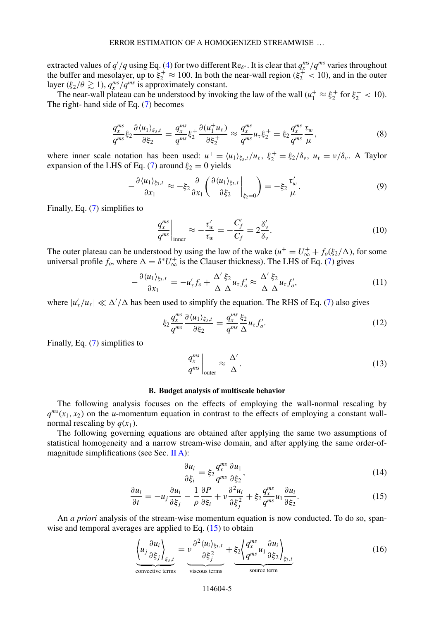<span id="page-4-0"></span>extracted values of  $q'/q$  using Eq. [\(4\)](#page-2-0) for two different Re<sub> $\delta^*$ </sub>. It is clear that  $q_x^{ms}/q^{ms}$  varies throughout the buffer and mesolayer, up to  $\xi_2^+ \approx 100$ . In both the near-wall region ( $\xi_2^+ < 10$ ), and in the outer layer ( $\xi_2/\theta \gtrsim 1$ ),  $q_x^{ms}/q^{ms}$  is approximately constant.

The near-wall plateau can be understood by invoking the law of the wall  $(u_1^+ \approx \xi_2^+$  for  $\xi_2^+$  < 10). The right- hand side of Eq. [\(7\)](#page-3-0) becomes

$$
\frac{q_x^{ms}}{q^{ms}} \xi_2 \frac{\partial \langle u_1 \rangle_{\xi_3,t}}{\partial \xi_2} = \frac{q_x^{ms}}{q^{ms}} \xi_2^+ \frac{\partial (u_1^+ u_\tau)}{\partial \xi_2^+} \approx \frac{q_x^{ms}}{q^{ms}} u_\tau \xi_2^+ = \xi_2 \frac{q_x^{ms}}{q^{ms}} \frac{\tau_w}{\mu},\tag{8}
$$

where inner scale notation has been used:  $u^+ = \langle u_1 \rangle_{\xi_3,t}/u_\tau$ ,  $\xi_2^+ = \xi_2/\delta_\nu$ ,  $u_\tau = \nu/\delta_\nu$ . A Taylor expansion of the LHS of Eq. [\(7\)](#page-3-0) around  $\xi_2 = 0$  yields

$$
-\frac{\partial \langle u_1 \rangle_{\xi_3,t}}{\partial x_1} \approx -\xi_2 \frac{\partial}{\partial x_1} \left( \frac{\partial \langle u_1 \rangle_{\xi_3,t}}{\partial \xi_2} \bigg|_{\xi_2=0} \right) = -\xi_2 \frac{\tau_w'}{\mu}.
$$
 (9)

Finally, Eq. [\(7\)](#page-3-0) simplifies to

$$
\left. \frac{q_x^{ms}}{q^{ms}} \right|_{\text{inner}} \approx -\frac{\tau_w'}{\tau_w} = -\frac{C_f'}{C_f} = 2\frac{\delta_v'}{\delta_v}.
$$
\n(10)

The outer plateau can be understood by using the law of the wake  $(u^+ = U^+ + f_0(\xi_2/\Delta))$ , for some universal profile  $f_o$ , where  $\Delta = \delta^* U^+_{\infty}$  is the Clauser thickness). The LHS of Eq. [\(7\)](#page-3-0) gives

$$
-\frac{\partial \langle u_1 \rangle_{\xi_3,t}}{\partial x_1} = -u'_\tau f_o + \frac{\Delta'}{\Delta} \frac{\xi_2}{\Delta} u_\tau f'_o \approx \frac{\Delta'}{\Delta} \frac{\xi_2}{\Delta} u_\tau f'_o,\tag{11}
$$

where  $|u'_\tau/u_\tau| \ll \Delta'/\Delta$  has been used to simplify the equation. The RHS of Eq. [\(7\)](#page-3-0) also gives

$$
\xi_2 \frac{q_s^{ms}}{q_s^{ms}} \frac{\partial \langle u_1 \rangle_{\xi_3,t}}{\partial \xi_2} = \frac{q_s^{ms}}{q_s^{ms}} \frac{\xi_2}{\Delta} u_\tau f'_o. \tag{12}
$$

Finally, Eq. [\(7\)](#page-3-0) simplifies to

$$
\left. \frac{q_x^{ms}}{q^{ms}} \right|_{\text{outer}} \approx \frac{\Delta'}{\Delta}.
$$
\n(13)

#### **B. Budget analysis of multiscale behavior**

The following analysis focuses on the effects of employing the wall-normal rescaling by  $q^{ms}(x_1, x_2)$  on the *u*-momentum equation in contrast to the effects of employing a constant wallnormal rescaling by  $q(x_1)$ .

The following governing equations are obtained after applying the same two assumptions of statistical homogeneity and a narrow stream-wise domain, and after applying the same order-of-magnitude simplifications (see Sec. [II A\)](#page-1-0):

$$
\frac{\partial u_i}{\partial \xi_i} = \xi_2 \frac{q_s^{ms}}{q^{ms}} \frac{\partial u_1}{\partial \xi_2},\tag{14}
$$

$$
\frac{\partial u_i}{\partial t} = -u_j \frac{\partial u_i}{\partial \xi_j} - \frac{1}{\rho} \frac{\partial P}{\partial \xi_i} + v \frac{\partial^2 u_i}{\partial \xi_j^2} + \xi_2 \frac{q_s^{ms}}{q_s^{ms}} u_1 \frac{\partial u_i}{\partial \xi_2}.
$$
(15)

An *a priori* analysis of the stream-wise momentum equation is now conducted. To do so, spanwise and temporal averages are applied to Eq.  $(15)$  to obtain

$$
\underbrace{\left\langle u_j \frac{\partial u_i}{\partial \xi_j} \right\rangle_{\xi_3,t}}_{\text{convective terms}} = \underbrace{v \frac{\partial^2 \langle u_i \rangle_{\xi_3,t}}{\partial \xi_j^2}}_{\text{viscous terms}} + \underbrace{\xi_2 \left\langle \frac{q_i^{ms}}{q^{ms}} u_1 \frac{\partial u_i}{\partial \xi_2} \right\rangle_{\xi_3,t}}_{\text{source term}}
$$
(16)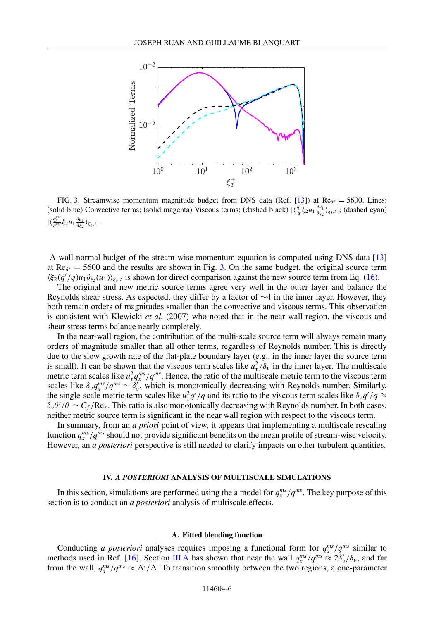<span id="page-5-0"></span>

FIG. 3. Streamwise momentum magnitude budget from DNS data (Ref. [\[13\]](#page-12-0)) at  $Re_{\delta^*} = 5600$ . Lines: (solid blue) Convective terms; (solid magenta) Viscous terms; (dashed black)  $|\langle \frac{q'}{q} \xi_2 u_1 \frac{\partial u_1}{\partial \xi_2} \rangle_{\xi_3,t}|$ ; (dashed cyan)  $|\langle \frac{q_x^{ms}}{q^{ms}} \xi_2 u_1 \frac{\partial u_1}{\partial \xi_2} \rangle_{\xi_3,t}|.$ 

A wall-normal budget of the stream-wise momentum equation is computed using DNS data [\[13\]](#page-12-0) at  $\text{Re}_{\delta^*} = 5600$  and the results are shown in Fig. 3. On the same budget, the original source term  $\langle \xi_2(q'/q)u_1 \partial_{\xi_2}(u_1) \rangle_{\xi_3,t}$  is shown for direct comparison against the new source term from Eq. [\(16\)](#page-4-0).

The original and new metric source terms agree very well in the outer layer and balance the Reynolds shear stress. As expected, they differ by a factor of  $\sim$ 4 in the inner layer. However, they both remain orders of magnitudes smaller than the convective and viscous terms. This observation is consistent with Klewicki *et al.* (2007) who noted that in the near wall region, the viscous and shear stress terms balance nearly completely.

In the near-wall region, the contribution of the multi-scale source term will always remain many orders of magnitude smaller than all other terms, regardless of Reynolds number. This is directly due to the slow growth rate of the flat-plate boundary layer (e.g., in the inner layer the source term is small). It can be shown that the viscous term scales like  $u_\tau^2/\delta_v$  in the inner layer. The multiscale metric term scales like  $u_\tau^2 q_x^{ms}/q^{ms}$ . Hence, the ratio of the multiscale metric term to the viscous term scales like  $\delta_v q_x^{ms}/q^{ms} \sim \delta_v'$ , which is monotonically decreasing with Reynolds number. Similarly, the single-scale metric term scales like  $u_\tau^2 q'/q$  and its ratio to the viscous term scales like  $\delta_\nu q'/q \approx$  $\delta_v \theta'/\theta \sim C_f / \text{Re}_\tau$ . This ratio is also monotonically decreasing with Reynolds number. In both cases, neither metric source term is significant in the near wall region with respect to the viscous term.

In summary, from an *a priori* point of view, it appears that implementing a multiscale rescaling function  $q_x^{ms}/q^{ms}$  should not provide significant benefits on the mean profile of stream-wise velocity. However, an *a posteriori* perspective is still needed to clarify impacts on other turbulent quantities.

#### **IV.** *A POSTERIORI* **ANALYSIS OF MULTISCALE SIMULATIONS**

In this section, simulations are performed using the a model for  $q_x^{ms}/q^{ms}$ . The key purpose of this section is to conduct an *a posteriori* analysis of multiscale effects.

#### **A. Fitted blending function**

Conducting *a posteriori* analyses requires imposing a functional form for  $q_x^{ms}/q^{ms}$  similar to methods used in Ref. [\[16\]](#page-13-0). Section [III A](#page-3-0) has shown that near the wall  $q_x^{ms}/q^{ms} \approx 2\delta_v'/\delta_v$ , and far from the wall,  $q_x^{ms}/q^{ms} \approx \Delta'/\Delta$ . To transition smoothly between the two regions, a one-parameter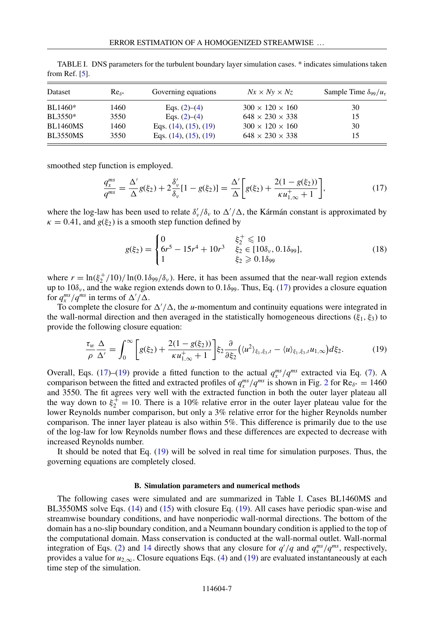| Dataset         | $Re_{s*}$ | Governing equations           | $Nx \times Ny \times Nz$    | Sample Time $\delta_{99}/u_{\tau}$ |
|-----------------|-----------|-------------------------------|-----------------------------|------------------------------------|
| BL1460*         | 1460      | Eqs. $(2)-(4)$                | $300 \times 120 \times 160$ | 30                                 |
| BL3550*         | 3550      | Eqs. $(2)$ – $(4)$            | $648 \times 230 \times 338$ | 15                                 |
| <b>BL1460MS</b> | 1460      | Eqs. $(14)$ , $(15)$ , $(19)$ | $300 \times 120 \times 160$ | 30                                 |
| <b>BL3550MS</b> | 3550      | Eqs. $(14)$ , $(15)$ , $(19)$ | $648 \times 230 \times 338$ | 15                                 |

<span id="page-6-0"></span>TABLE I. DNS parameters for the turbulent boundary layer simulation cases. \* indicates simulations taken from Ref. [\[5\]](#page-12-0).

smoothed step function is employed.

$$
\frac{q_x^{ms}}{q^{ms}} = \frac{\Delta'}{\Delta} g(\xi_2) + 2 \frac{\delta_v'}{\delta_v} [1 - g(\xi_2)] = \frac{\Delta'}{\Delta} \bigg[ g(\xi_2) + \frac{2(1 - g(\xi_2))}{\kappa u_{1,\infty}^+ + 1} \bigg],\tag{17}
$$

where the log-law has been used to relate  $\delta_v'/\delta_v$  to  $\Delta'/\Delta$ , the Kármán constant is approximated by  $\kappa = 0.41$ , and  $g(\xi_2)$  is a smooth step function defined by

$$
g(\xi_2) = \begin{cases} 0 & \xi_2^+ \le 10\\ 6r^5 - 15r^4 + 10r^3 & \xi_2 \in [10\delta_\nu, 0.1\delta_{99}],\\ 1 & \xi_2 \ge 0.1\delta_{99} \end{cases}
$$
(18)

where  $r = \ln(\xi_2^+/10)/\ln(0.1\delta_{99}/\delta_v)$ . Here, it has been assumed that the near-wall region extends up to  $10\delta_{\nu}$ , and the wake region extends down to 0.1 $\delta_{99}$ . Thus, Eq. (17) provides a closure equation for  $q_x^{ms}/q^{ms}$  in terms of  $\Delta'/\Delta$ .

To complete the closure for  $\Delta'/\Delta$ , the *u*-momentum and continuity equations were integrated in the wall-normal direction and then averaged in the statistically homogeneous directions ( $\xi_1, \xi_3$ ) to provide the following closure equation:

$$
\frac{\tau_w}{\rho} \frac{\Delta}{\Delta'} = \int_0^\infty \left[ g(\xi_2) + \frac{2(1 - g(\xi_2))}{\kappa u_{1,\infty}^+ + 1} \right] \xi_2 \frac{\partial}{\partial \xi_2} \left( \langle u^2 \rangle_{\xi_1, \xi_3, t} - \langle u \rangle_{\xi_1, \xi_3, t} u_{1,\infty} \right) d\xi_2. \tag{19}
$$

Overall, Eqs. (17)–(19) provide a fitted function to the actual  $q_x^{ms}/q^{ms}$  extracted via Eq. [\(7\)](#page-3-0). A comparison between the fitted and extracted profiles of  $q_x^{ms}/q^{ms}$  is shown in Fig. [2](#page-3-0) for Re $\delta^*$  = 1460 and 3550. The fit agrees very well with the extracted function in both the outer layer plateau all the way down to  $\xi_2^+ = 10$ . There is a 10% relative error in the outer layer plateau value for the lower Reynolds number comparison, but only a 3% relative error for the higher Reynolds number comparison. The inner layer plateau is also within 5%. This difference is primarily due to the use of the log-law for low Reynolds number flows and these differences are expected to decrease with increased Reynolds number.

It should be noted that Eq. (19) will be solved in real time for simulation purposes. Thus, the governing equations are completely closed.

#### **B. Simulation parameters and numerical methods**

The following cases were simulated and are summarized in Table I. Cases BL1460MS and BL3550MS solve Eqs. [\(14\)](#page-4-0) and [\(15\)](#page-4-0) with closure Eq. (19). All cases have periodic span-wise and streamwise boundary conditions, and have nonperiodic wall-normal directions. The bottom of the domain has a no-slip boundary condition, and a Neumann boundary condition is applied to the top of the computational domain. Mass conservation is conducted at the wall-normal outlet. Wall-normal integration of Eqs. [\(2\)](#page-1-0) and [14](#page-4-0) directly shows that any closure for  $q'/q$  and  $q_x^{ms}/q^{ms}$ , respectively, provides a value for  $u_{2,\infty}$ . Closure equations Eqs. [\(4\)](#page-2-0) and (19) are evaluated instantaneously at each time step of the simulation.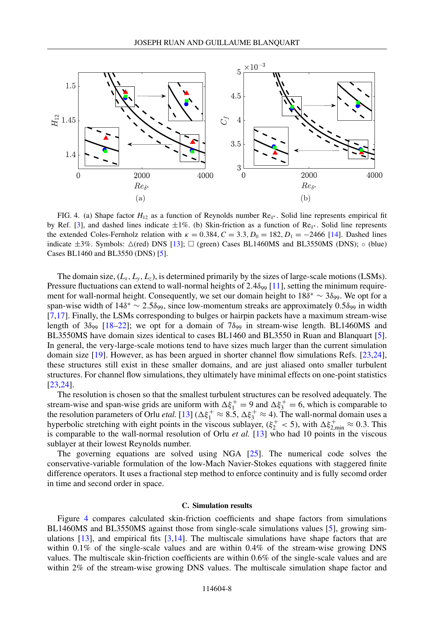<span id="page-7-0"></span>

FIG. 4. (a) Shape factor  $H_{12}$  as a function of Reynolds number  $\text{Re}_{\delta^*}$ . Solid line represents empirical fit by Ref. [\[3\]](#page-12-0), and dashed lines indicate  $\pm 1\%$ . (b) Skin-friction as a function of Re<sub>δ</sub>∗. Solid line represents the extended Coles-Fernholz relation with  $\kappa = 0.384, C = 3.3, D_0 = 182, D_1 = -2466$  [\[14\]](#page-13-0). Dashed lines indicate  $\pm 3\%$ . Symbols:  $\triangle$ (red) DNS [\[13\]](#page-12-0);  $\Box$  (green) Cases BL1460MS and BL3550MS (DNS); ◦ (blue) Cases BL1460 and BL3550 (DNS) [\[5\]](#page-12-0).

The domain size,  $(L_x, L_y, L_z)$ , is determined primarily by the sizes of large-scale motions (LSMs). Pressure fluctuations can extend to wall-normal heights of 2.4 $\delta_{99}$  [\[11\]](#page-12-0), setting the minimum requirement for wall-normal height. Consequently, we set our domain height to  $18\delta^* \sim 3\delta_{99}$ . We opt for a span-wise width of  $14\delta^* \sim 2.5\delta_{99}$ , since low-momentum streaks are approximately 0.5 $\delta_{99}$  in width [\[7,](#page-12-0)[17\]](#page-13-0). Finally, the LSMs corresponding to bulges or hairpin packets have a maximum stream-wise length of  $3\delta_{99}$  [\[18–22\]](#page-13-0); we opt for a domain of  $7\delta_{99}$  in stream-wise length. BL1460MS and BL3550MS have domain sizes identical to cases BL1460 and BL3550 in Ruan and Blanquart [\[5\]](#page-12-0). In general, the very-large-scale motions tend to have sizes much larger than the current simulation domain size [\[19\]](#page-13-0). However, as has been argued in shorter channel flow simulations Refs. [\[23,24\]](#page-13-0), these structures still exist in these smaller domains, and are just aliased onto smaller turbulent structures. For channel flow simulations, they ultimately have minimal effects on one-point statistics [\[23,24\]](#page-13-0).

The resolution is chosen so that the smallest turbulent structures can be resolved adequately. The stream-wise and span-wise grids are uniform with  $\Delta \xi_1^+ = 9$  and  $\Delta \xi_3^+ = 6$ , which is comparable to the resolution parameters of Orlu *etal.* [\[13\]](#page-12-0) ( $\Delta \xi_1^+ \approx 8.5$ ,  $\Delta \xi_3^+ \approx 4$ ). The wall-normal domain uses a hyperbolic stretching with eight points in the viscous sublayer,  $(\xi_2^+ < 5)$ , with  $\Delta \xi_{2,\text{min}}^+ \approx 0.3$ . This is comparable to the wall-normal resolution of Orlu *et al.* [\[13\]](#page-12-0) who had 10 points in the viscous sublayer at their lowest Reynolds number.

The governing equations are solved using NGA [\[25\]](#page-13-0). The numerical code solves the conservative-variable formulation of the low-Mach Navier-Stokes equations with staggered finite difference operators. It uses a fractional step method to enforce continuity and is fully secomd order in time and second order in space.

# **C. Simulation results**

Figure 4 compares calculated skin-friction coefficients and shape factors from simulations BL1460MS and BL3550MS against those from single-scale simulations values [\[5\]](#page-12-0), growing simulations  $[13]$ , and empirical fits  $[3,14]$  $[3,14]$ . The multiscale simulations have shape factors that are within 0.1% of the single-scale values and are within 0.4% of the stream-wise growing DNS values. The multiscale skin-friction coefficients are within 0.6% of the single-scale values and are within 2% of the stream-wise growing DNS values. The multiscale simulation shape factor and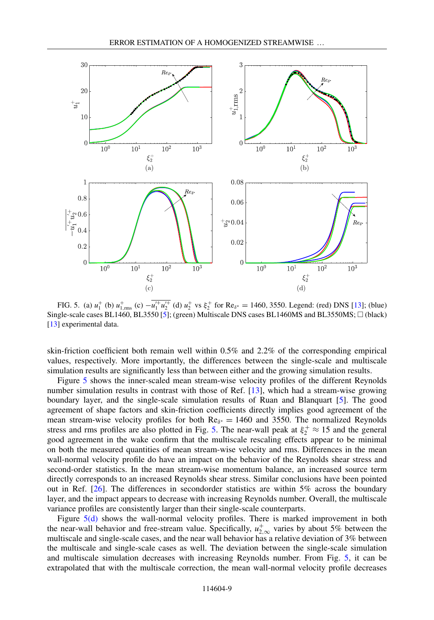<span id="page-8-0"></span>

FIG. 5. (a)  $u_1^+$  (b)  $u_{1,\text{rms}}^+$  (c)  $-u_1'^+ u_2'^+$  (d)  $u_2^+$  vs  $\xi_2^+$  for Re<sub> $\delta^*$ </sub> = 1460, 3550. Legend: (red) DNS [\[13\]](#page-12-0); (blue) Single-scale cases BL1460, BL3550 [\[5\]](#page-12-0); (green) Multiscale DNS cases BL1460MS and BL3550MS;  $\Box$  (black) [\[13\]](#page-12-0) experimental data.

skin-friction coefficient both remain well within 0.5% and 2.2% of the corresponding empirical values, respectively. More importantly, the differences between the single-scale and multiscale simulation results are significantly less than between either and the growing simulation results.

Figure 5 shows the inner-scaled mean stream-wise velocity profiles of the different Reynolds number simulation results in contrast with those of Ref. [\[13\]](#page-12-0), which had a stream-wise growing boundary layer, and the single-scale simulation results of Ruan and Blanquart [\[5\]](#page-12-0). The good agreement of shape factors and skin-friction coefficients directly implies good agreement of the mean stream-wise velocity profiles for both  $Re_{\delta^*} = 1460$  and 3550. The normalized Reynolds stress and rms profiles are also plotted in Fig. 5. The near-wall peak at  $\xi_2^+ \approx 15$  and the general good agreement in the wake confirm that the multiscale rescaling effects appear to be minimal on both the measured quantities of mean stream-wise velocity and rms. Differences in the mean wall-normal velocity profile do have an impact on the behavior of the Reynolds shear stress and second-order statistics. In the mean stream-wise momentum balance, an increased source term directly corresponds to an increased Reynolds shear stress. Similar conclusions have been pointed out in Ref. [\[26\]](#page-13-0). The differences in secondorder statistics are within 5% across the boundary layer, and the impact appears to decrease with increasing Reynolds number. Overall, the multiscale variance profiles are consistently larger than their single-scale counterparts.

Figure  $5(d)$  shows the wall-normal velocity profiles. There is marked improvement in both the near-wall behavior and free-stream value. Specifically,  $u_{2,\infty}^+$  varies by about 5% between the multiscale and single-scale cases, and the near wall behavior has a relative deviation of 3% between the multiscale and single-scale cases as well. The deviation between the single-scale simulation and multiscale simulation decreases with increasing Reynolds number. From Fig. 5, it can be extrapolated that with the multiscale correction, the mean wall-normal velocity profile decreases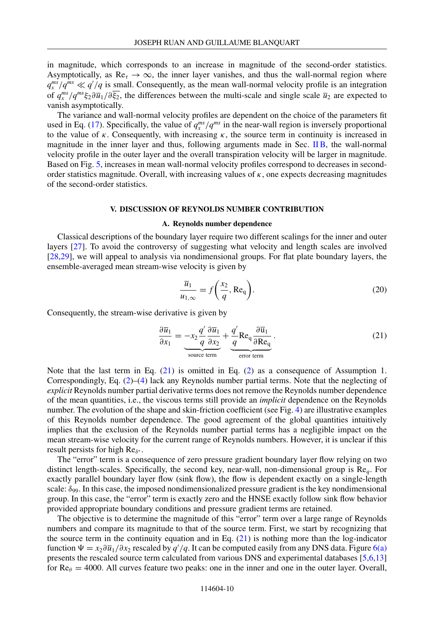<span id="page-9-0"></span>in magnitude, which corresponds to an increase in magnitude of the second-order statistics. Asymptotically, as  $\text{Re}_{\tau} \to \infty$ , the inner layer vanishes, and thus the wall-normal region where  $q_x^{ms}/q^{ms} \ll q'/q$  is small. Consequently, as the mean wall-normal velocity profile is an integration of  $q_x^{ms}/q^{ms}\xi_2\partial\bar{u}_1/\partial\bar{\xi}_2$ , the differences between the multi-scale and single scale  $\bar{u}_2$  are expected to vanish asymptotically.

The variance and wall-normal velocity profiles are dependent on the choice of the parameters fit used in Eq. [\(17\)](#page-6-0). Specifically, the value of  $q_x^{ms}/q^{ms}$  in the near-wall region is inversely proportional to the value of  $\kappa$ . Consequently, with increasing  $\kappa$ , the source term in continuity is increased in magnitude in the inner layer and thus, following arguments made in Sec. [II B,](#page-2-0) the wall-normal velocity profile in the outer layer and the overall transpiration velocity will be larger in magnitude. Based on Fig. [5,](#page-8-0) increases in mean wall-normal velocity profiles correspond to decreases in secondorder statistics magnitude. Overall, with increasing values of  $\kappa$ , one expects decreasing magnitudes of the second-order statistics.

#### **V. DISCUSSION OF REYNOLDS NUMBER CONTRIBUTION**

#### **A. Reynolds number dependence**

Classical descriptions of the boundary layer require two different scalings for the inner and outer layers [\[27\]](#page-13-0). To avoid the controversy of suggesting what velocity and length scales are involved [\[28,29\]](#page-13-0), we will appeal to analysis via nondimensional groups. For flat plate boundary layers, the ensemble-averaged mean stream-wise velocity is given by

$$
\frac{\overline{u}_1}{u_{1,\infty}} = f\left(\frac{x_2}{q}, \text{Re}_q\right).
$$
 (20)

Consequently, the stream-wise derivative is given by

$$
\frac{\partial \overline{u}_1}{\partial x_1} = -x_2 \frac{q'}{q} \frac{\partial \overline{u}_1}{\partial x_2} + \frac{q'}{q} \text{Re}_q \frac{\partial \overline{u}_1}{\partial \text{Re}_q}.
$$
\n(21)

Note that the last term in Eq. (21) is omitted in Eq. [\(2\)](#page-1-0) as a consequence of Assumption 1. Correspondingly, Eq. [\(2\)](#page-1-0)–[\(4\)](#page-2-0) lack any Reynolds number partial terms. Note that the neglecting of *explicit* Reynolds number partial derivative terms does not remove the Reynolds number dependence of the mean quantities, i.e., the viscous terms still provide an *implicit* dependence on the Reynolds number. The evolution of the shape and skin-friction coefficient (see Fig. [4\)](#page-7-0) are illustrative examples of this Reynolds number dependence. The good agreement of the global quantities intuitively implies that the exclusion of the Reynolds number partial terms has a negligible impact on the mean stream-wise velocity for the current range of Reynolds numbers. However, it is unclear if this result persists for high  $\text{Re}_{\delta^*}$ .

The "error" term is a consequence of zero pressure gradient boundary layer flow relying on two distinct length-scales. Specifically, the second key, near-wall, non-dimensional group is Re*q*. For exactly parallel boundary layer flow (sink flow), the flow is dependent exactly on a single-length scale:  $\delta_{99}$ . In this case, the imposed nondimensionalized pressure gradient is the key nondimensional group. In this case, the "error" term is exactly zero and the HNSE exactly follow sink flow behavior provided appropriate boundary conditions and pressure gradient terms are retained.

The objective is to determine the magnitude of this "error" term over a large range of Reynolds numbers and compare its magnitude to that of the source term. First, we start by recognizing that the source term in the continuity equation and in Eq.  $(21)$  is nothing more than the log-indicator function  $\Psi = x_2 \partial \overline{u}_1/\partial x_2$  rescaled by *q'* /*q*. It can be computed easily from any DNS data. Figure [6\(a\)](#page-10-0) presents the rescaled source term calculated from various DNS and experimental databases [\[5,6,13\]](#page-12-0) for  $\text{Re}_{\theta} = 4000$ . All curves feature two peaks: one in the inner and one in the outer layer. Overall,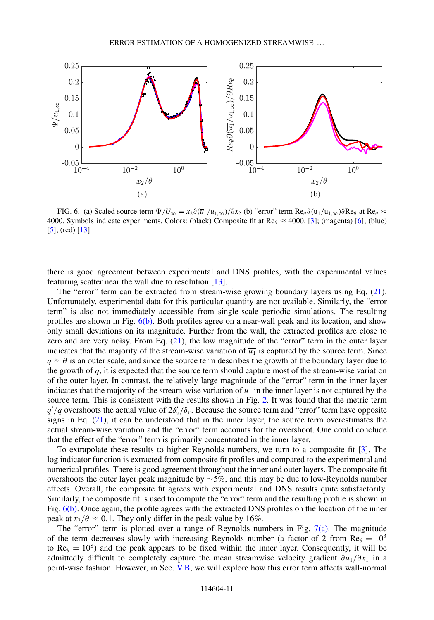<span id="page-10-0"></span>

FIG. 6. (a) Scaled source term  $\Psi/U_{\infty} = x_2 \partial (\overline{u}_1/u_{1,\infty})/\partial x_2$  (b) "error" term  $\text{Re}_{\theta} \partial (\overline{u}_1/u_{1,\infty})\partial \text{Re}_{\theta}$  at  $\text{Re}_{\theta} \approx$ 4000. Symbols indicate experiments. Colors: (black) Composite fit at  $\text{Re}_{\theta} \approx 4000$ . [\[3\]](#page-12-0); (magenta) [\[6\]](#page-12-0); (blue) [\[5\]](#page-12-0); (red) [\[13\]](#page-12-0).

there is good agreement between experimental and DNS profiles, with the experimental values featuring scatter near the wall due to resolution [\[13\]](#page-12-0).

The "error" term can be extracted from stream-wise growing boundary layers using Eq. [\(21\)](#page-9-0). Unfortunately, experimental data for this particular quantity are not available. Similarly, the "error term" is also not immediately accessible from single-scale periodic simulations. The resulting profiles are shown in Fig. 6(b). Both profiles agree on a near-wall peak and its location, and show only small deviations on its magnitude. Further from the wall, the extracted profiles are close to zero and are very noisy. From Eq. [\(21\)](#page-9-0), the low magnitude of the "error" term in the outer layer indicates that the majority of the stream-wise variation of  $\overline{u_1}$  is captured by the source term. Since  $q \approx \theta$  is an outer scale, and since the source term describes the growth of the boundary layer due to the growth of  $q$ , it is expected that the source term should capture most of the stream-wise variation of the outer layer. In contrast, the relatively large magnitude of the "error" term in the inner layer indicates that the majority of the stream-wise variation of  $\overline{u_1}$  in the inner layer is not captured by the source term. This is consistent with the results shown in Fig. [2.](#page-3-0) It was found that the metric term  $q'/q$  overshoots the actual value of  $2\delta_v'/\delta_v$ . Because the source term and "error" term have opposite signs in Eq. [\(21\)](#page-9-0), it can be understood that in the inner layer, the source term overestimates the actual stream-wise variation and the "error" term accounts for the overshoot. One could conclude that the effect of the "error" term is primarily concentrated in the inner layer.

To extrapolate these results to higher Reynolds numbers, we turn to a composite fit [\[3\]](#page-12-0). The log indicator function is extracted from composite fit profiles and compared to the experimental and numerical profiles. There is good agreement throughout the inner and outer layers. The composite fit overshoots the outer layer peak magnitude by ∼5%, and this may be due to low-Reynolds number effects. Overall, the composite fit agrees with experimental and DNS results quite satisfactorily. Similarly, the composite fit is used to compute the "error" term and the resulting profile is shown in Fig. 6(b). Once again, the profile agrees with the extracted DNS profiles on the location of the inner peak at  $x_2/\theta \approx 0.1$ . They only differ in the peak value by 16%.

The "error" term is plotted over a range of Reynolds numbers in Fig.  $7(a)$ . The magnitude of the term decreases slowly with increasing Reynolds number (a factor of 2 from  $Re_\theta = 10^3$ to  $\text{Re}_{\theta} = 10^8$ ) and the peak appears to be fixed within the inner layer. Consequently, it will be admittedly difficult to completely capture the mean streamwise velocity gradient  $\frac{\partial \overline{u}_1}{\partial x_1}$  in a point-wise fashion. However, in Sec. [V B,](#page-11-0) we will explore how this error term affects wall-normal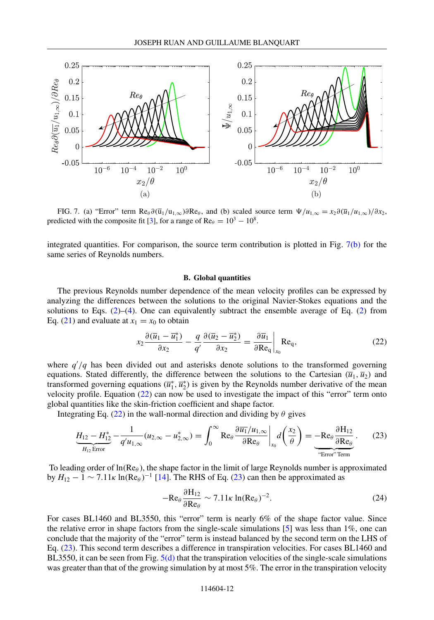<span id="page-11-0"></span>

FIG. 7. (a) "Error" term Re $\theta$ ∂( $\overline{u}_1/u_1_{\infty}$ )∂Re $\theta$ , and (b) scaled source term  $\Psi/u_1_{\infty} = x_2 \partial(\overline{u}_1/u_1_{\infty})/\partial x_2$ , predicted with the composite fit [\[3\]](#page-12-0), for a range of Re $\theta = 10^3 - 10^8$ .

integrated quantities. For comparison, the source term contribution is plotted in Fig. 7(b) for the same series of Reynolds numbers.

### **B. Global quantities**

The previous Reynolds number dependence of the mean velocity profiles can be expressed by analyzing the differences between the solutions to the original Navier-Stokes equations and the solutions to Eqs.  $(2)$ – $(4)$ . One can equivalently subtract the ensemble average of Eq.  $(2)$  from Eq. [\(21\)](#page-9-0) and evaluate at  $x_1 = x_0$  to obtain

$$
x_2 \frac{\partial (\overline{u}_1 - \overline{u}_1^*)}{\partial x_2} - \frac{q}{q'} \frac{\partial (\overline{u}_2 - \overline{u}_2^*)}{\partial x_2} = \frac{\partial \overline{u}_1}{\partial \text{Re}_q} \bigg|_{x_0} \text{Re}_q,
$$
 (22)

where  $q'/q$  has been divided out and asterisks denote solutions to the transformed governing equations. Stated differently, the difference between the solutions to the Cartesian  $(\overline{u}_1, \overline{u}_2)$  and transformed governing equations  $(\bar{u}_1^*, \bar{u}_2^*)$  is given by the Reynolds number derivative of the mean velocity profile. Equation (22) can now be used to investigate the impact of this "error" term onto global quantities like the skin-friction coefficient and shape factor.

Integrating Eq. (22) in the wall-normal direction and dividing by  $\theta$  gives

$$
\underbrace{H_{12}-H_{12}^*}_{H_{12}\text{ Error}}-\frac{1}{q'u_{1,\infty}}(u_{2,\infty}-u_{2,\infty}^*)=\int_0^\infty \text{Re}_\theta \frac{\partial \overline{u_1}/u_{1,\infty}}{\partial \text{Re}_\theta}\bigg|_{x_0}d\bigg(\frac{x_2}{\theta}\bigg)=\underbrace{-\text{Re}_\theta \frac{\partial H_{12}}{\partial \text{Re}_\theta}}_{\text{"Error" Term}}.\tag{23}
$$

To leading order of  $\ln(Re_\theta)$ , the shape factor in the limit of large Reynolds number is approximated by  $H_{12} - 1 \sim 7.11 \kappa \ln(Re_\theta)^{-1}$  [\[14\]](#page-13-0). The RHS of Eq. (23) can then be approximated as

$$
-Re_{\theta} \frac{\partial H_{12}}{\partial Re_{\theta}} \sim 7.11 \kappa \ln(Re_{\theta})^{-2}.
$$
 (24)

For cases BL1460 and BL3550, this "error" term is nearly 6% of the shape factor value. Since the relative error in shape factors from the single-scale simulations  $[5]$  was less than 1%, one can conclude that the majority of the "error" term is instead balanced by the second term on the LHS of Eq. (23). This second term describes a difference in transpiration velocities. For cases BL1460 and BL3550, it can be seen from Fig.  $5(d)$  that the transpiration velocities of the single-scale simulations was greater than that of the growing simulation by at most 5%. The error in the transpiration velocity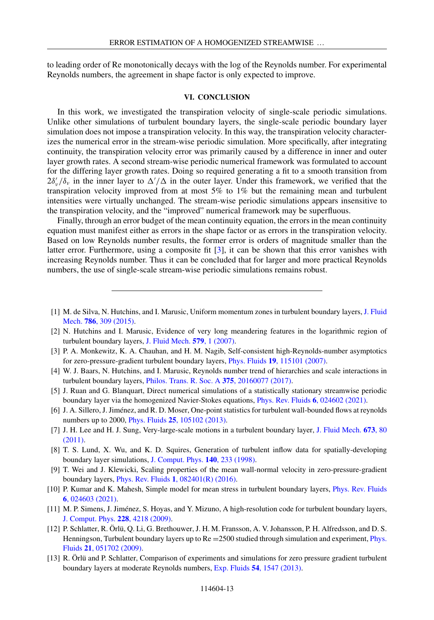<span id="page-12-0"></span>to leading order of Re monotonically decays with the log of the Reynolds number. For experimental Reynolds numbers, the agreement in shape factor is only expected to improve.

# **VI. CONCLUSION**

In this work, we investigated the transpiration velocity of single-scale periodic simulations. Unlike other simulations of turbulent boundary layers, the single-scale periodic boundary layer simulation does not impose a transpiration velocity. In this way, the transpiration velocity characterizes the numerical error in the stream-wise periodic simulation. More specifically, after integrating continuity, the transpiration velocity error was primarily caused by a difference in inner and outer layer growth rates. A second stream-wise periodic numerical framework was formulated to account for the differing layer growth rates. Doing so required generating a fit to a smooth transition from  $2\delta_v/\delta_v$  in the inner layer to  $\Delta'/\Delta$  in the outer layer. Under this framework, we verified that the transpiration velocity improved from at most 5% to 1% but the remaining mean and turbulent intensities were virtually unchanged. The stream-wise periodic simulations appears insensitive to the transpiration velocity, and the "improved" numerical framework may be superfluous.

Finally, through an error budget of the mean continuity equation, the errors in the mean continuity equation must manifest either as errors in the shape factor or as errors in the transpiration velocity. Based on low Reynolds number results, the former error is orders of magnitude smaller than the latter error. Furthermore, using a composite fit [3], it can be shown that this error vanishes with increasing Reynolds number. Thus it can be concluded that for larger and more practical Reynolds numbers, the use of single-scale stream-wise periodic simulations remains robust.

- [7] [J. H. Lee and H. J. Sung, Very-large-scale motions in a turbulent boundary layer,](https://doi.org/10.1017/S002211201000621X) J. Fluid Mech. **673**, 80 (2011).
- [8] T. S. Lund, X. Wu, and K. D. Squires, Generation of turbulent inflow data for spatially-developing boundary layer simulations, [J. Comput. Phys.](https://doi.org/10.1006/jcph.1998.5882) **140**, 233 (1998).
- [9] T. Wei and J. Klewicki, Scaling properties of the mean wall-normal velocity in zero-pressure-gradient boundary layers, Phys. Rev. Fluids **1**[, 082401\(R\) \(2016\).](https://doi.org/10.1103/PhysRevFluids.1.082401)
- [10] [P. Kumar and K. Mahesh, Simple model for mean stress in turbulent boundary layers,](https://doi.org/10.1103/PhysRevFluids.6.024603) Phys. Rev. Fluids **6**, 024603 (2021).
- [11] M. P. Simens, J. Jiménez, S. Hoyas, and Y. Mizuno, A high-resolution code for turbulent boundary layers, [J. Comput. Phys.](https://doi.org/10.1016/j.jcp.2009.02.031) **228**, 4218 (2009).
- [12] P. Schlatter, R. Örlü, Q. Li, G. Brethouwer, J. H. M. Fransson, A. V. Johansson, P. H. Alfredsson, and D. S. Henningson, Turbulent boundary layers up to Re = [2500 studied through simulation and experiment,](https://doi.org/10.1063/1.3139294) Phys. Fluids **21**, 051702 (2009).
- [13] R. Örlü and P. Schlatter, Comparison of experiments and simulations for zero pressure gradient turbulent boundary layers at moderate Reynolds numbers, Exp. Fluids **54**[, 1547 \(2013\).](https://doi.org/10.1007/s00348-013-1547-x)

<sup>[1]</sup> [M. de Silva, N. Hutchins, and I. Marusic, Uniform momentum zones in turbulent boundary layers,](https://doi.org/10.1017/jfm.2015.672) J. Fluid Mech. **786**, 309 (2015).

<sup>[2]</sup> N. Hutchins and I. Marusic, Evidence of very long meandering features in the logarithmic region of turbulent boundary layers, [J. Fluid Mech.](https://doi.org/10.1017/S0022112006003946) **579**, 1 (2007).

<sup>[3]</sup> P. A. Monkewitz, K. A. Chauhan, and H. M. Nagib, Self-consistent high-Reynolds-number asymptotics for zero-pressure-gradient turbulent boundary layers, Phys. Fluids **19**[, 115101 \(2007\).](https://doi.org/10.1063/1.2780196)

<sup>[4]</sup> W. J. Baars, N. Hutchins, and I. Marusic, Reynolds number trend of hierarchies and scale interactions in turbulent boundary layers, [Philos. Trans. R. Soc. A](https://doi.org/10.1098/rsta.2016.0077) **375**, 20160077 (2017).

<sup>[5]</sup> J. Ruan and G. Blanquart, Direct numerical simulations of a statistically stationary streamwise periodic boundary layer via the homogenized Navier-Stokes equations, [Phys. Rev. Fluids](https://doi.org/10.1103/PhysRevFluids.6.024602) **6**, 024602 (2021).

<sup>[6]</sup> J. A. Sillero, J. Jiménez, and R. D. Moser, One-point statistics for turbulent wall-bounded flows at reynolds numbers up to 2000, Phys. Fluids **25**[, 105102 \(2013\).](https://doi.org/10.1063/1.4823831)